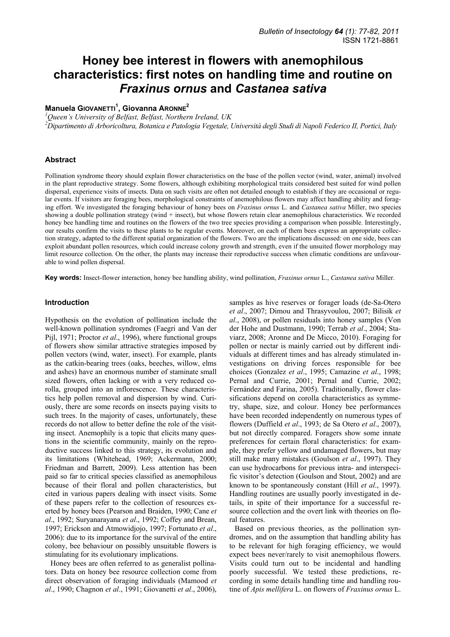# **Honey bee interest in flowers with anemophilous characteristics: first notes on handling time and routine on**  *Fraxinus ornus* **and** *Castanea sativa*

## **Manuela GIOVANETTI<sup>1</sup> , Giovanna ARONNE<sup>2</sup>**

*1 Queen's University of Belfast, Belfast, Northern Ireland, UK* 

*2 Dipartimento di Arboricoltura, Botanica e Patologia Vegetale, Università degli Studi di Napoli Federico II, Portici, Italy* 

## **Abstract**

Pollination syndrome theory should explain flower characteristics on the base of the pollen vector (wind, water, animal) involved in the plant reproductive strategy. Some flowers, although exhibiting morphological traits considered best suited for wind pollen dispersal, experience visits of insects. Data on such visits are often not detailed enough to establish if they are occasional or regular events. If visitors are foraging bees, morphological constraints of anemophilous flowers may affect handling ability and foraging effort. We investigated the foraging behaviour of honey bees on *Fraxinus ornus* L. and *Castanea sativa* Miller, two species showing a double pollination strategy (wind + insect), but whose flowers retain clear anemophilous characteristics. We recorded honey bee handling time and routines on the flowers of the two tree species providing a comparison when possible. Interestingly, our results confirm the visits to these plants to be regular events. Moreover, on each of them bees express an appropriate collection strategy, adapted to the different spatial organization of the flowers. Two are the implications discussed: on one side, bees can exploit abundant pollen resources, which could increase colony growth and strength, even if the unsuited flower morphology may limit resource collection. On the other, the plants may increase their reproductive success when climatic conditions are unfavourable to wind pollen dispersal.

**Key words:** Insect-flower interaction, honey bee handling ability, wind pollination, *Fraxinus ornus* L., *Castanea sativa* Miller.

## **Introduction**

Hypothesis on the evolution of pollination include the well-known pollination syndromes (Faegri and Van der Pijl, 1971; Proctor *et al*., 1996), where functional groups of flowers show similar attractive strategies imposed by pollen vectors (wind, water, insect). For example, plants as the catkin-bearing trees (oaks, beeches, willow, elms and ashes) have an enormous number of staminate small sized flowers, often lacking or with a very reduced corolla, grouped into an inflorescence. These characteristics help pollen removal and dispersion by wind. Curiously, there are some records on insects paying visits to such trees. In the majority of cases, unfortunately, these records do not allow to better define the role of the visiting insect. Anemophily is a topic that elicits many questions in the scientific community, mainly on the reproductive success linked to this strategy, its evolution and its limitations (Whitehead, 1969; Ackermann, 2000; Friedman and Barrett, 2009). Less attention has been paid so far to critical species classified as anemophilous because of their floral and pollen characteristics, but cited in various papers dealing with insect visits. Some of these papers refer to the collection of resources exerted by honey bees (Pearson and Braiden, 1990; Cane *et al*., 1992; Suryanarayana *et al*., 1992; Coffey and Brean, 1997; Erickson and Atmowidjojo, 1997; Fortunato *et al*., 2006): due to its importance for the survival of the entire colony, bee behaviour on possibly unsuitable flowers is stimulating for its evolutionary implications.

Honey bees are often referred to as generalist pollinators. Data on honey bee resource collection come from direct observation of foraging individuals (Mamood *et al*., 1990; Chagnon *et al*., 1991; Giovanetti *et al*., 2006),

samples as hive reserves or forager loads (de-Sa-Otero *et al*., 2007; Dimou and Thrasyvoulou, 2007; Bilisik *et al*., 2008), or pollen residuals into honey samples (Von der Hohe and Dustmann, 1990; Terrab *et al*., 2004; Staviarz, 2008; Aronne and De Micco, 2010). Foraging for pollen or nectar is mainly carried out by different individuals at different times and has already stimulated investigations on driving forces responsible for bee choices (Gonzalez *et al*., 1995; Camazine *et al*., 1998; Pernal and Currie, 2001; Pernal and Currie, 2002; Fernández and Farina, 2005). Traditionally, flower classifications depend on corolla characteristics as symmetry, shape, size, and colour. Honey bee performances have been recorded independently on numerous types of flowers (Duffield *et al*., 1993; de Sa Otero *et al*., 2007), but not directly compared. Foragers show some innate preferences for certain floral characteristics: for example, they prefer yellow and undamaged flowers, but may still make many mistakes (Goulson *et al*., 1997). They can use hydrocarbons for previous intra- and interspecific visitor's detection (Goulson and Stout, 2002) and are known to be spontaneously constant (Hill *et al*., 1997). Handling routines are usually poorly investigated in details, in spite of their importance for a successful resource collection and the overt link with theories on floral features.

Based on previous theories, as the pollination syndromes, and on the assumption that handling ability has to be relevant for high foraging efficiency, we would expect bees never/rarely to visit anemophilous flowers. Visits could turn out to be incidental and handling poorly successful. We tested these predictions, recording in some details handling time and handling routine of *Apis mellifera* L. on flowers of *Fraxinus ornus* L.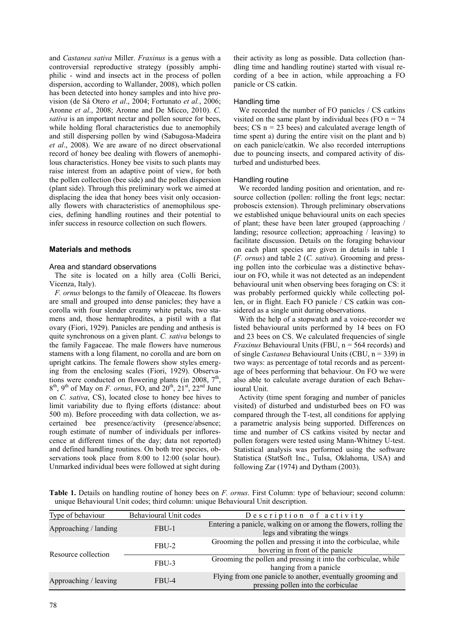and *Castanea sativa* Miller. *Fraxinus* is a genus with a controversial reproductive strategy (possibly amphiphilic - wind and insects act in the process of pollen dispersion, according to Wallander, 2008), which pollen has been detected into honey samples and into hive provision (de Sá Otero *et al*., 2004; Fortunato *et al.*, 2006; Aronne *et al*., 2008; Aronne and De Micco, 2010). *C. sativa* is an important nectar and pollen source for bees, while holding floral characteristics due to anemophily and still dispersing pollen by wind (Sabugosa-Madeira *et al*., 2008). We are aware of no direct observational record of honey bee dealing with flowers of anemophilous characteristics. Honey bee visits to such plants may raise interest from an adaptive point of view, for both the pollen collection (bee side) and the pollen dispersion (plant side). Through this preliminary work we aimed at displacing the idea that honey bees visit only occasionally flowers with characteristics of anemophilous species, defining handling routines and their potential to infer success in resource collection on such flowers.

## **Materials and methods**

## Area and standard observations

The site is located on a hilly area (Colli Berici, Vicenza, Italy).

*F. ornus* belongs to the family of Oleaceae. Its flowers are small and grouped into dense panicles; they have a corolla with four slender creamy white petals, two stamens and, those hermaphrodites, a pistil with a flat ovary (Fiori, 1929). Panicles are pending and anthesis is quite synchronous on a given plant. *C. sativa* belongs to the family Fagaceae. The male flowers have numerous stamens with a long filament, no corolla and are born on upright catkins. The female flowers show styles emerging from the enclosing scales (Fiori, 1929). Observations were conducted on flowering plants (in 2008,  $7<sup>th</sup>$ ,  $8<sup>th</sup>$ ,  $9<sup>th</sup>$  of May on *F. ornus*, FO, and  $20<sup>th</sup>$ ,  $21<sup>st</sup>$ ,  $22<sup>nd</sup>$  June on *C. sativa*, CS), located close to honey bee hives to limit variability due to flying efforts (distance: about 500 m). Before proceeding with data collection, we ascertained bee presence/activity (presence/absence; rough estimate of number of individuals per inflorescence at different times of the day; data not reported) and defined handling routines. On both tree species, observations took place from 8:00 to 12:00 (solar hour). Unmarked individual bees were followed at sight during

their activity as long as possible. Data collection (handling time and handling routine) started with visual recording of a bee in action, while approaching a FO panicle or CS catkin.

## Handling time

We recorded the number of FO panicles / CS catkins visited on the same plant by individual bees (FO  $n = 74$ ) bees; CS  $n = 23$  bees) and calculated average length of time spent a) during the entire visit on the plant and b) on each panicle/catkin. We also recorded interruptions due to pouncing insects, and compared activity of disturbed and undisturbed bees.

#### Handling routine

We recorded landing position and orientation, and resource collection (pollen: rolling the front legs; nectar: proboscis extension). Through preliminary observations we established unique behavioural units on each species of plant; these have been later grouped (approaching / landing; resource collection; approaching / leaving) to facilitate discussion. Details on the foraging behaviour on each plant species are given in details in table 1 (*F. ornus*) and table 2 (*C. sativa*). Grooming and pressing pollen into the corbiculae was a distinctive behaviour on FO, while it was not detected as an independent behavioural unit when observing bees foraging on CS: it was probably performed quickly while collecting pollen, or in flight. Each FO panicle / CS catkin was considered as a single unit during observations.

With the help of a stopwatch and a voice-recorder we listed behavioural units performed by 14 bees on FO and 23 bees on CS. We calculated frequencies of single *Fraxinus* Behavioural Units (FBU, n = 564 records) and of single *Castanea* Behavioural Units (CBU, n = 339) in two ways: as percentage of total records and as percentage of bees performing that behaviour. On FO we were also able to calculate average duration of each Behavioural Unit.

Activity (time spent foraging and number of panicles visited) of disturbed and undisturbed bees on FO was compared through the T-test, all conditions for applying a parametric analysis being supported. Differences on time and number of CS catkins visited by nectar and pollen foragers were tested using Mann-Whitney U-test. Statistical analysis was performed using the software Statistica (StatSoft Inc., Tulsa, Oklahoma, USA) and following Zar (1974) and Dytham (2003).

**Table 1.** Details on handling routine of honey bees on *F. ornus*. First Column: type of behaviour; second column: unique Behavioural Unit codes; third column: unique Behavioural Unit description.

| Type of behaviour     | Behavioural Unit codes | Description of activity                                                                            |
|-----------------------|------------------------|----------------------------------------------------------------------------------------------------|
| Approaching / landing | FBU-1                  | Entering a panicle, walking on or among the flowers, rolling the<br>legs and vibrating the wings   |
| Resource collection   | FBU-2                  | Grooming the pollen and pressing it into the corbiculae, while<br>hovering in front of the panicle |
|                       | FBU-3                  | Grooming the pollen and pressing it into the corbiculae, while<br>hanging from a panicle           |
| Approaching / leaving | FBU-4                  | Flying from one panicle to another, eventually grooming and<br>pressing pollen into the corbiculae |
|                       |                        |                                                                                                    |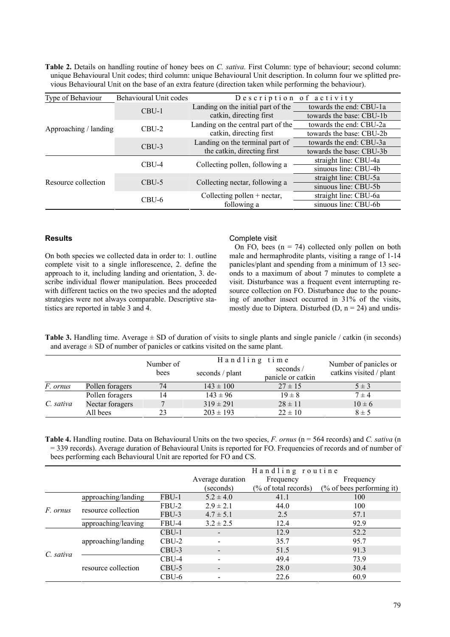**Table 2.** Details on handling routine of honey bees on *C. sativa.* First Column: type of behaviour; second column: unique Behavioural Unit codes; third column: unique Behavioural Unit description. In column four we splitted previous Behavioural Unit on the base of an extra feature (direction taken while performing the behaviour).

| Type of Behaviour     | Behavioural Unit codes | Description of activity            |                          |
|-----------------------|------------------------|------------------------------------|--------------------------|
| Approaching / landing | $CBU-1$                | Landing on the initial part of the | towards the end: CBU-1a  |
|                       |                        | catkin, directing first            | towards the base: CBU-1b |
|                       | CBU-2                  | Landing on the central part of the | towards the end: CBU-2a  |
|                       |                        | catkin, directing first            | towards the base: CBU-2b |
|                       | $CBU-3$                | Landing on the terminal part of    | towards the end: CBU-3a  |
|                       |                        | the catkin, directing first        | towards the base: CBU-3b |
| Resource collection   | CBU-4                  | Collecting pollen, following a     | straight line: CBU-4a    |
|                       |                        |                                    | sinuous line: CBU-4b     |
|                       | $CBU-5$                | Collecting nectar, following a     | straight line: CBU-5a    |
|                       |                        |                                    | sinuous line: CBU-5b     |
|                       | CBU-6                  | Collecting pollen $+$ nectar,      | straight line: CBU-6a    |
|                       |                        | following a                        | sinuous line: CBU-6b     |

## **Results**

On both species we collected data in order to: 1. outline complete visit to a single inflorescence, 2. define the approach to it, including landing and orientation, 3. describe individual flower manipulation. Bees proceeded with different tactics on the two species and the adopted strategies were not always comparable. Descriptive statistics are reported in table 3 and 4.

## Complete visit

On FO, bees  $(n = 74)$  collected only pollen on both male and hermaphrodite plants, visiting a range of 1-14 panicles/plant and spending from a minimum of 13 seconds to a maximum of about 7 minutes to complete a visit. Disturbance was a frequent event interrupting resource collection on FO. Disturbance due to the pouncing of another insect occurred in 31% of the visits, mostly due to Diptera. Disturbed  $(D, n = 24)$  and undis-

**Table 3.** Handling time. Average  $\pm$  SD of duration of visits to single plants and single panicle / catkin (in seconds) and average  $\pm$  SD of number of panicles or catkins visited on the same plant.

|           |                 | Number of | Handling time   |                               | Number of panicles or   |
|-----------|-----------------|-----------|-----------------|-------------------------------|-------------------------|
|           |                 | bees      | seconds / plant | seconds/<br>panicle or catkin | catkins visited / plant |
| F. ornus  | Pollen foragers | 74        | $143 \pm 100$   | $27 \pm 15$                   | $5 \pm 3$               |
| C. sativa | Pollen foragers | 14        | $143 \pm 96$    | $19 \pm 8$                    | $7 \pm 4$               |
|           | Nectar foragers |           | $319 \pm 291$   | $28 \pm 11$                   | $10 \pm 6$              |
|           | All bees        | 23        | $203 \pm 193$   | $22 \pm 10$                   | $8 \pm 5$               |

**Table 4.** Handling routine. Data on Behavioural Units on the two species, *F. ornus* (n = 564 records) and *C. sativa* (n = 339 records). Average duration of Behavioural Units is reported for FO. Frequencies of records and of number of bees performing each Behavioural Unit are reported for FO and CS.

|                 |                     |         | Handling routine         |                                 |                              |
|-----------------|---------------------|---------|--------------------------|---------------------------------|------------------------------|
|                 |                     |         | Average duration         | Frequency                       | Frequency                    |
|                 |                     |         | (seconds)                | $\frac{6}{6}$ of total records) | $(\%$ of bees performing it) |
| <i>F.</i> ornus | approaching/landing | FBU-1   | $5.2 \pm 4.0$            | 41.1                            | 100                          |
|                 | resource collection | FBU-2   | $2.9 \pm 2.1$            | 44.0                            | 100                          |
|                 |                     | FBU-3   | $4.7 \pm 5.1$            | 2.5                             | 57.1                         |
|                 | approaching/leaving | FBU-4   | $3.2 \pm 2.5$            | 12.4                            | 92.9                         |
| C. sativa       | approaching/landing | CBU-1   | $\overline{\phantom{a}}$ | 12.9                            | 52.2                         |
|                 |                     | CBU-2   |                          | 35.7                            | 95.7                         |
|                 |                     | CBU-3   |                          | 51.5                            | 91.3                         |
|                 | resource collection | CBU-4   |                          | 49.4                            | 73.9                         |
|                 |                     | $CBU-5$ | $\overline{\phantom{a}}$ | 28.0                            | 30.4                         |
|                 |                     | CBU-6   |                          | 22.6                            | 60.9                         |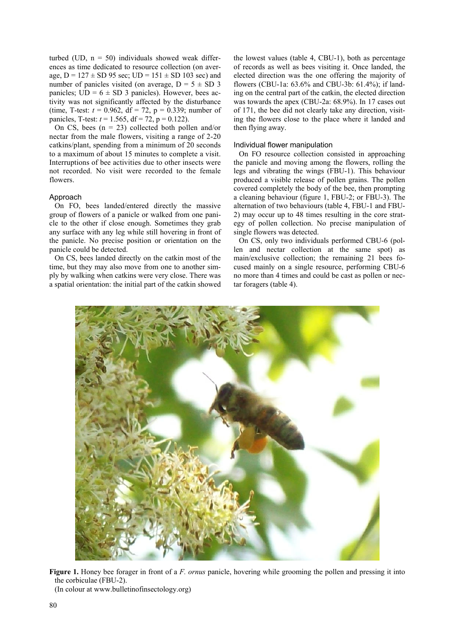turbed (UD,  $n = 50$ ) individuals showed weak differences as time dedicated to resource collection (on average,  $D = 127 \pm SD$  95 sec;  $UD = 151 \pm SD$  103 sec) and number of panicles visited (on average,  $D = 5 \pm SD$  3 panicles;  $UD = 6 \pm SD$  3 panicles). However, bees activity was not significantly affected by the disturbance (time, T-test:  $t = 0.962$ ,  $df = 72$ ,  $p = 0.339$ ; number of panicles, T-test:  $t = 1.565$ , df = 72, p = 0.122).

On CS, bees  $(n = 23)$  collected both pollen and/or nectar from the male flowers, visiting a range of 2-20 catkins/plant, spending from a minimum of 20 seconds to a maximum of about 15 minutes to complete a visit. Interruptions of bee activities due to other insects were not recorded. No visit were recorded to the female flowers.

## Approach

On FO, bees landed/entered directly the massive group of flowers of a panicle or walked from one panicle to the other if close enough. Sometimes they grab any surface with any leg while still hovering in front of the panicle. No precise position or orientation on the panicle could be detected.

On CS, bees landed directly on the catkin most of the time, but they may also move from one to another simply by walking when catkins were very close. There was a spatial orientation: the initial part of the catkin showed the lowest values (table 4, CBU-1), both as percentage of records as well as bees visiting it. Once landed, the elected direction was the one offering the majority of flowers (CBU-1a: 63.6% and CBU-3b: 61.4%); if landing on the central part of the catkin, the elected direction was towards the apex (CBU-2a: 68.9%). In 17 cases out of 171, the bee did not clearly take any direction, visiting the flowers close to the place where it landed and then flying away.

## Individual flower manipulation

On FO resource collection consisted in approaching the panicle and moving among the flowers, rolling the legs and vibrating the wings (FBU-1). This behaviour produced a visible release of pollen grains. The pollen covered completely the body of the bee, then prompting a cleaning behaviour (figure 1, FBU-2; or FBU-3). The alternation of two behaviours (table 4, FBU-1 and FBU-2) may occur up to 48 times resulting in the core strategy of pollen collection. No precise manipulation of single flowers was detected.

On CS, only two individuals performed CBU-6 (pollen and nectar collection at the same spot) as main/exclusive collection; the remaining 21 bees focused mainly on a single resource, performing CBU-6 no more than 4 times and could be cast as pollen or nectar foragers (table 4).



**Figure 1.** Honey bee forager in front of a *F. ornus* panicle, hovering while grooming the pollen and pressing it into the corbiculae (FBU-2).

(In colour at www.bulletinofinsectology.org)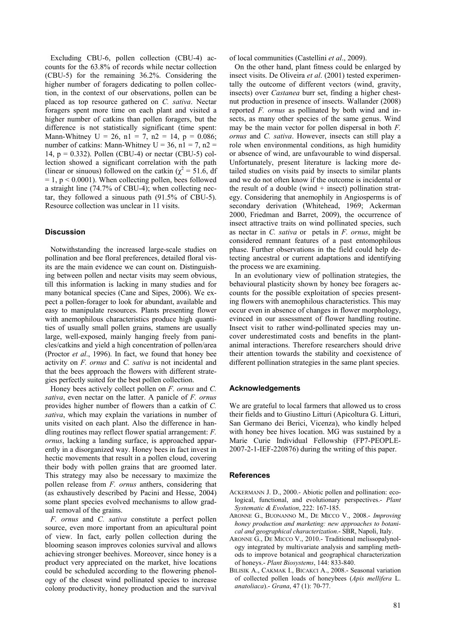Excluding CBU-6, pollen collection (CBU-4) accounts for the 63.8% of records while nectar collection (CBU-5) for the remaining 36.2%. Considering the higher number of foragers dedicating to pollen collection, in the context of our observations, pollen can be placed as top resource gathered on *C. sativa*. Nectar foragers spent more time on each plant and visited a higher number of catkins than pollen foragers, but the difference is not statistically significant (time spent: Mann-Whitney  $U = 26$ ,  $n1 = 7$ ,  $n2 = 14$ ,  $p = 0.086$ ; number of catkins: Mann-Whitney  $U = 36$ ,  $n1 = 7$ ,  $n2 =$ 14,  $p = 0.332$ ). Pollen (CBU-4) or nectar (CBU-5) collection showed a significant correlation with the path (linear or sinuous) followed on the catkin ( $\chi^2 = 51.6$ , df  $= 1$ ,  $p < 0.0001$ ). When collecting pollen, bees followed a straight line (74.7% of CBU-4); when collecting nectar, they followed a sinuous path (91.5% of CBU-5). Resource collection was unclear in 11 visits.

## **Discussion**

Notwithstanding the increased large-scale studies on pollination and bee floral preferences, detailed floral visits are the main evidence we can count on. Distinguishing between pollen and nectar visits may seem obvious, till this information is lacking in many studies and for many botanical species (Cane and Sipes, 2006). We expect a pollen-forager to look for abundant, available and easy to manipulate resources. Plants presenting flower with anemophilous characteristics produce high quantities of usually small pollen grains, stamens are usually large, well-exposed, mainly hanging freely from panicles/catkins and yield a high concentration of pollen/area (Proctor *et al*., 1996). In fact, we found that honey bee activity on *F. ornus* and *C. sativa* is not incidental and that the bees approach the flowers with different strategies perfectly suited for the best pollen collection.

Honey bees actively collect pollen on *F. ornus* and *C. sativa*, even nectar on the latter. A panicle of *F. ornus* provides higher number of flowers than a catkin of *C. sativa*, which may explain the variations in number of units visited on each plant. Also the difference in handling routines may reflect flower spatial arrangement: *F. ornus*, lacking a landing surface, is approached apparently in a disorganized way. Honey bees in fact invest in hectic movements that result in a pollen cloud, covering their body with pollen grains that are groomed later. This strategy may also be necessary to maximize the pollen release from *F. ornus* anthers, considering that (as exhaustively described by Pacini and Hesse, 2004) some plant species evolved mechanisms to allow gradual removal of the grains.

*F. ornus* and *C. sativa* constitute a perfect pollen source, even more important from an apicultural point of view. In fact, early pollen collection during the blooming season improves colonies survival and allows achieving stronger beehives. Moreover, since honey is a product very appreciated on the market, hive locations could be scheduled according to the flowering phenology of the closest wind pollinated species to increase colony productivity, honey production and the survival of local communities (Castellini *et al*., 2009).

On the other hand, plant fitness could be enlarged by insect visits. De Oliveira *et al*. (2001) tested experimentally the outcome of different vectors (wind, gravity, insects) over *Castanea* burr set, finding a higher chestnut production in presence of insects. Wallander (2008) reported *F. ornus* as pollinated by both wind and insects, as many other species of the same genus. Wind may be the main vector for pollen dispersal in both *F. ornus* and *C. sativa*. However, insects can still play a role when environmental conditions, as high humidity or absence of wind, are unfavourable to wind dispersal. Unfortunately, present literature is lacking more detailed studies on visits paid by insects to similar plants and we do not often know if the outcome is incidental or the result of a double (wind  $+$  insect) pollination strategy. Considering that anemophily in Angiosperms is of secondary derivation (Whitehead, 1969; Ackerman 2000, Friedman and Barret, 2009), the occurrence of insect attractive traits on wind pollinated species, such as nectar in *C. sativa* or petals in *F. ornus*, might be considered remnant features of a past entomophilous phase. Further observations in the field could help detecting ancestral or current adaptations and identifying the process we are examining.

In an evolutionary view of pollination strategies, the behavioural plasticity shown by honey bee foragers accounts for the possible exploitation of species presenting flowers with anemophilous characteristics. This may occur even in absence of changes in flower morphology, evinced in our assessment of flower handling routine. Insect visit to rather wind-pollinated species may uncover underestimated costs and benefits in the plantanimal interactions. Therefore researchers should drive their attention towards the stability and coexistence of different pollination strategies in the same plant species.

## **Acknowledgements**

We are grateful to local farmers that allowed us to cross their fields and to Giustino Litturi (Apicoltura G. Litturi, San Germano dei Berici, Vicenza), who kindly helped with honey bee hives location. MG was sustained by a Marie Curie Individual Fellowship (FP7-PEOPLE-2007-2-1-IEF-220876) during the writing of this paper.

## **References**

- ACKERMANN J. D., 2000.- Abiotic pollen and pollination: ecological, functional, and evolutionary perspectives.- *Plant Systematic & Evolution*, 222: 167-185.
- ARONNE G., BUONANNO M., DE MICCO V., 2008.- *Improving honey production and marketing: new approaches to botanical and geographical characterization*.- SBR, Napoli, Italy.
- ARONNE G., DE MICCO V., 2010.- Traditional melissopalynology integrated by multivariate analysis and sampling methods to improve botanical and geographical characterization of honeys.- *Plant Biosystems*, 144: 833-840.
- BILISIK A., CAKMAK I., BICAKCI A., 2008.- Seasonal variation of collected pollen loads of honeybees (*Apis mellifera* L. *anatoliaca*).- *Grana*, 47 (1): 70-77.